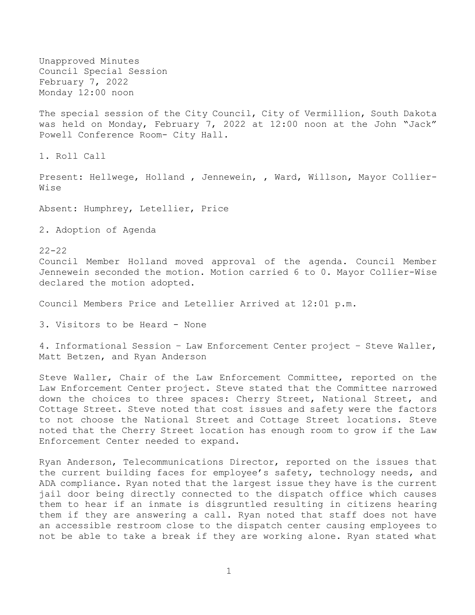Unapproved Minutes Council Special Session February 7, 2022 Monday 12:00 noon

The special session of the City Council, City of Vermillion, South Dakota was held on Monday, February 7, 2022 at 12:00 noon at the John "Jack" Powell Conference Room- City Hall.

1. Roll Call

Present: Hellwege, Holland, Jennewein, , Ward, Willson, Mayor Collier-Wise

Absent: Humphrey, Letellier, Price

2. Adoption of Agenda

 $22 - 22$ Council Member Holland moved approval of the agenda. Council Member Jennewein seconded the motion. Motion carried 6 to 0. Mayor Collier-Wise declared the motion adopted.

Council Members Price and Letellier Arrived at 12:01 p.m.

3. Visitors to be Heard - None

4. Informational Session – Law Enforcement Center project – Steve Waller, Matt Betzen, and Ryan Anderson

Steve Waller, Chair of the Law Enforcement Committee, reported on the Law Enforcement Center project. Steve stated that the Committee narrowed down the choices to three spaces: Cherry Street, National Street, and Cottage Street. Steve noted that cost issues and safety were the factors to not choose the National Street and Cottage Street locations. Steve noted that the Cherry Street location has enough room to grow if the Law Enforcement Center needed to expand.

Ryan Anderson, Telecommunications Director, reported on the issues that the current building faces for employee's safety, technology needs, and ADA compliance. Ryan noted that the largest issue they have is the current jail door being directly connected to the dispatch office which causes them to hear if an inmate is disgruntled resulting in citizens hearing them if they are answering a call. Ryan noted that staff does not have an accessible restroom close to the dispatch center causing employees to not be able to take a break if they are working alone. Ryan stated what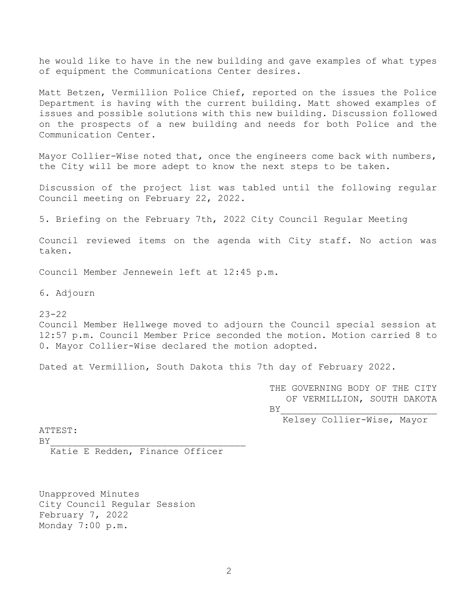he would like to have in the new building and gave examples of what types of equipment the Communications Center desires.

Matt Betzen, Vermillion Police Chief, reported on the issues the Police Department is having with the current building. Matt showed examples of issues and possible solutions with this new building. Discussion followed on the prospects of a new building and needs for both Police and the Communication Center.

Mayor Collier-Wise noted that, once the engineers come back with numbers, the City will be more adept to know the next steps to be taken.

Discussion of the project list was tabled until the following regular Council meeting on February 22, 2022.

5. Briefing on the February 7th, 2022 City Council Regular Meeting

Council reviewed items on the agenda with City staff. No action was taken.

Council Member Jennewein left at 12:45 p.m.

6. Adjourn

23-22

Council Member Hellwege moved to adjourn the Council special session at 12:57 p.m. Council Member Price seconded the motion. Motion carried 8 to 0. Mayor Collier-Wise declared the motion adopted.

Dated at Vermillion, South Dakota this 7th day of February 2022.

THE GOVERNING BODY OF THE CITY OF VERMILLION, SOUTH DAKOTA  $BY$ 

Kelsey Collier-Wise, Mayor

ATTEST:

 $BY$ 

Katie E Redden, Finance Officer

Unapproved Minutes City Council Regular Session February 7, 2022 Monday 7:00 p.m.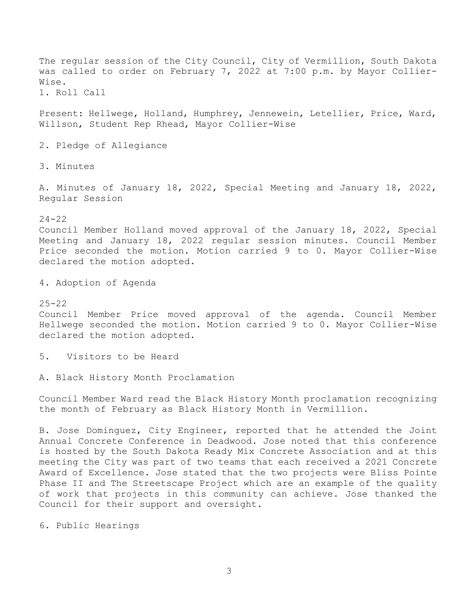The regular session of the City Council, City of Vermillion, South Dakota was called to order on February 7, 2022 at 7:00 p.m. by Mayor Collier-Wise. 1. Roll Call Present: Hellwege, Holland, Humphrey, Jennewein, Letellier, Price, Ward, Willson, Student Rep Rhead, Mayor Collier-Wise 2. Pledge of Allegiance 3. Minutes A. Minutes of January 18, 2022, Special Meeting and January 18, 2022, Regular Session 24-22 Council Member Holland moved approval of the January 18, 2022, Special Meeting and January 18, 2022 regular session minutes. Council Member Price seconded the motion. Motion carried 9 to 0. Mayor Collier-Wise declared the motion adopted.

4. Adoption of Agenda

25-22

Council Member Price moved approval of the agenda. Council Member Hellwege seconded the motion. Motion carried 9 to 0. Mayor Collier-Wise declared the motion adopted.

5. Visitors to be Heard

A. Black History Month Proclamation

Council Member Ward read the Black History Month proclamation recognizing the month of February as Black History Month in Vermillion.

B. Jose Dominguez, City Engineer, reported that he attended the Joint Annual Concrete Conference in Deadwood. Jose noted that this conference is hosted by the South Dakota Ready Mix Concrete Association and at this meeting the City was part of two teams that each received a 2021 Concrete Award of Excellence. Jose stated that the two projects were Bliss Pointe Phase II and The Streetscape Project which are an example of the quality of work that projects in this community can achieve. Jose thanked the Council for their support and oversight.

6. Public Hearings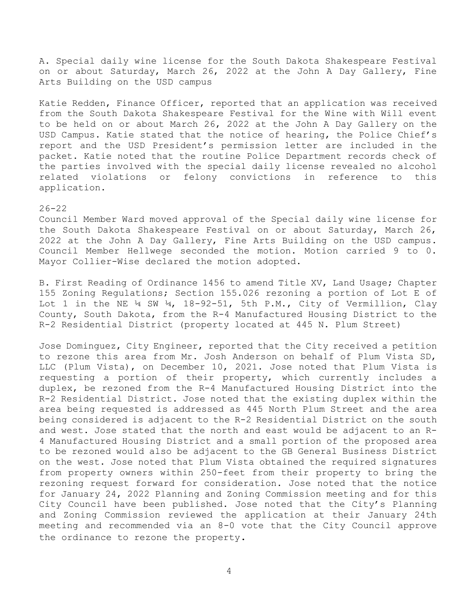A. Special daily wine license for the South Dakota Shakespeare Festival on or about Saturday, March 26, 2022 at the John A Day Gallery, Fine Arts Building on the USD campus

Katie Redden, Finance Officer, reported that an application was received from the South Dakota Shakespeare Festival for the Wine with Will event to be held on or about March 26, 2022 at the John A Day Gallery on the USD Campus. Katie stated that the notice of hearing, the Police Chief's report and the USD President's permission letter are included in the packet. Katie noted that the routine Police Department records check of the parties involved with the special daily license revealed no alcohol related violations or felony convictions in reference to this application.

## $26 - 22$

Council Member Ward moved approval of the Special daily wine license for the South Dakota Shakespeare Festival on or about Saturday, March 26, 2022 at the John A Day Gallery, Fine Arts Building on the USD campus. Council Member Hellwege seconded the motion. Motion carried 9 to 0. Mayor Collier-Wise declared the motion adopted.

B. First Reading of Ordinance 1456 to amend Title XV, Land Usage; Chapter 155 Zoning Regulations; Section 155.026 rezoning a portion of Lot E of Lot 1 in the NE  $\frac{1}{4}$  SW  $\frac{1}{4}$ , 18-92-51, 5th P.M., City of Vermillion, Clay County, South Dakota, from the R-4 Manufactured Housing District to the R-2 Residential District (property located at 445 N. Plum Street)

Jose Dominguez, City Engineer, reported that the City received a petition to rezone this area from Mr. Josh Anderson on behalf of Plum Vista SD, LLC (Plum Vista), on December 10, 2021. Jose noted that Plum Vista is requesting a portion of their property, which currently includes a duplex, be rezoned from the R-4 Manufactured Housing District into the R-2 Residential District. Jose noted that the existing duplex within the area being requested is addressed as 445 North Plum Street and the area being considered is adjacent to the R-2 Residential District on the south and west. Jose stated that the north and east would be adjacent to an R-4 Manufactured Housing District and a small portion of the proposed area to be rezoned would also be adjacent to the GB General Business District on the west. Jose noted that Plum Vista obtained the required signatures from property owners within 250-feet from their property to bring the rezoning request forward for consideration. Jose noted that the notice for January 24, 2022 Planning and Zoning Commission meeting and for this City Council have been published. Jose noted that the City's Planning and Zoning Commission reviewed the application at their January 24th meeting and recommended via an 8-0 vote that the City Council approve the ordinance to rezone the property.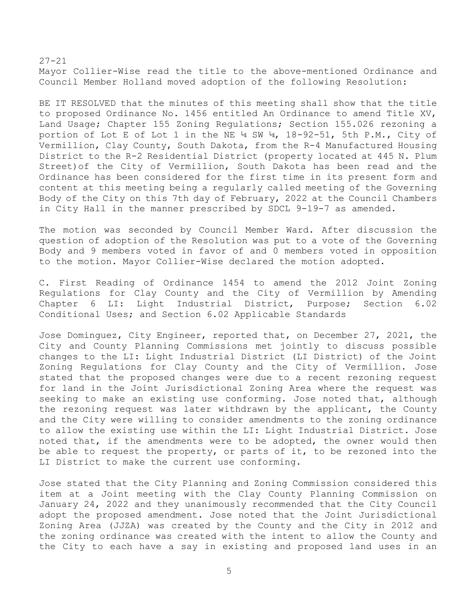27-21 Mayor Collier-Wise read the title to the above-mentioned Ordinance and Council Member Holland moved adoption of the following Resolution:

BE IT RESOLVED that the minutes of this meeting shall show that the title to proposed Ordinance No. 1456 entitled An Ordinance to amend Title XV, Land Usage; Chapter 155 Zoning Regulations; Section 155.026 rezoning a portion of Lot E of Lot 1 in the NE  $\frac{1}{4}$  SW  $\frac{1}{4}$ , 18-92-51, 5th P.M., City of Vermillion, Clay County, South Dakota, from the R-4 Manufactured Housing District to the R-2 Residential District (property located at 445 N. Plum Street)of the City of Vermillion, South Dakota has been read and the Ordinance has been considered for the first time in its present form and content at this meeting being a regularly called meeting of the Governing Body of the City on this 7th day of February, 2022 at the Council Chambers in City Hall in the manner prescribed by SDCL 9-19-7 as amended.

The motion was seconded by Council Member Ward. After discussion the question of adoption of the Resolution was put to a vote of the Governing Body and 9 members voted in favor of and 0 members voted in opposition to the motion. Mayor Collier-Wise declared the motion adopted.

C. First Reading of Ordinance 1454 to amend the 2012 Joint Zoning Regulations for Clay County and the City of Vermillion by Amending Chapter 6 LI: Light Industrial District, Purpose; Section 6.02 Conditional Uses; and Section 6.02 Applicable Standards

Jose Dominguez, City Engineer, reported that, on December 27, 2021, the City and County Planning Commissions met jointly to discuss possible changes to the LI: Light Industrial District (LI District) of the Joint Zoning Regulations for Clay County and the City of Vermillion. Jose stated that the proposed changes were due to a recent rezoning request for land in the Joint Jurisdictional Zoning Area where the request was seeking to make an existing use conforming. Jose noted that, although the rezoning request was later withdrawn by the applicant, the County and the City were willing to consider amendments to the zoning ordinance to allow the existing use within the LI: Light Industrial District. Jose noted that, if the amendments were to be adopted, the owner would then be able to request the property, or parts of it, to be rezoned into the LI District to make the current use conforming.

Jose stated that the City Planning and Zoning Commission considered this item at a Joint meeting with the Clay County Planning Commission on January 24, 2022 and they unanimously recommended that the City Council adopt the proposed amendment. Jose noted that the Joint Jurisdictional Zoning Area (JJZA) was created by the County and the City in 2012 and the zoning ordinance was created with the intent to allow the County and the City to each have a say in existing and proposed land uses in an

5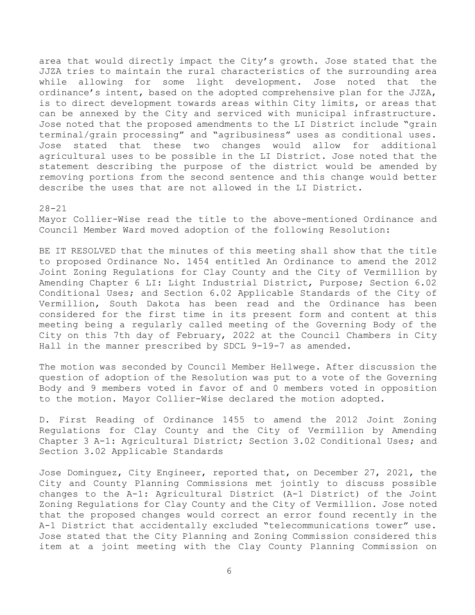area that would directly impact the City's growth. Jose stated that the JJZA tries to maintain the rural characteristics of the surrounding area while allowing for some light development. Jose noted that the ordinance's intent, based on the adopted comprehensive plan for the JJZA, is to direct development towards areas within City limits, or areas that can be annexed by the City and serviced with municipal infrastructure. Jose noted that the proposed amendments to the LI District include "grain terminal/grain processing" and "agribusiness" uses as conditional uses. Jose stated that these two changes would allow for additional agricultural uses to be possible in the LI District. Jose noted that the statement describing the purpose of the district would be amended by removing portions from the second sentence and this change would better describe the uses that are not allowed in the LI District.

#### 28-21

Mayor Collier-Wise read the title to the above-mentioned Ordinance and Council Member Ward moved adoption of the following Resolution:

BE IT RESOLVED that the minutes of this meeting shall show that the title to proposed Ordinance No. 1454 entitled An Ordinance to amend the 2012 Joint Zoning Regulations for Clay County and the City of Vermillion by Amending Chapter 6 LI: Light Industrial District, Purpose; Section 6.02 Conditional Uses; and Section 6.02 Applicable Standards of the City of Vermillion, South Dakota has been read and the Ordinance has been considered for the first time in its present form and content at this meeting being a regularly called meeting of the Governing Body of the City on this 7th day of February, 2022 at the Council Chambers in City Hall in the manner prescribed by SDCL 9-19-7 as amended.

The motion was seconded by Council Member Hellwege. After discussion the question of adoption of the Resolution was put to a vote of the Governing Body and 9 members voted in favor of and 0 members voted in opposition to the motion. Mayor Collier-Wise declared the motion adopted.

D. First Reading of Ordinance 1455 to amend the 2012 Joint Zoning Regulations for Clay County and the City of Vermillion by Amending Chapter 3 A-1: Agricultural District; Section 3.02 Conditional Uses; and Section 3.02 Applicable Standards

Jose Dominguez, City Engineer, reported that, on December 27, 2021, the City and County Planning Commissions met jointly to discuss possible changes to the A-1: Agricultural District (A-1 District) of the Joint Zoning Regulations for Clay County and the City of Vermillion. Jose noted that the proposed changes would correct an error found recently in the A-1 District that accidentally excluded "telecommunications tower" use. Jose stated that the City Planning and Zoning Commission considered this item at a joint meeting with the Clay County Planning Commission on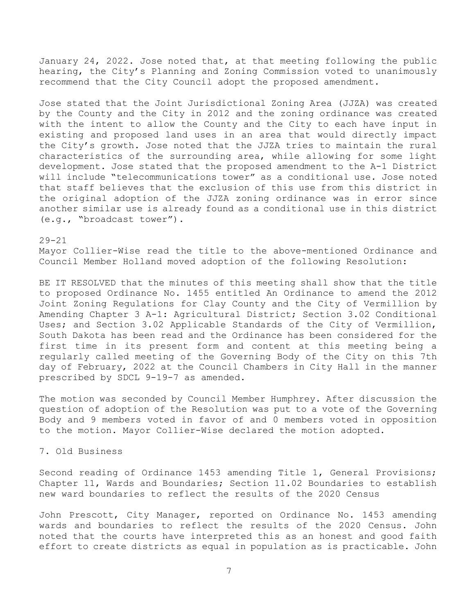January 24, 2022. Jose noted that, at that meeting following the public hearing, the City's Planning and Zoning Commission voted to unanimously recommend that the City Council adopt the proposed amendment.

Jose stated that the Joint Jurisdictional Zoning Area (JJZA) was created by the County and the City in 2012 and the zoning ordinance was created with the intent to allow the County and the City to each have input in existing and proposed land uses in an area that would directly impact the City's growth. Jose noted that the JJZA tries to maintain the rural characteristics of the surrounding area, while allowing for some light development. Jose stated that the proposed amendment to the A-1 District will include "telecommunications tower" as a conditional use. Jose noted that staff believes that the exclusion of this use from this district in the original adoption of the JJZA zoning ordinance was in error since another similar use is already found as a conditional use in this district (e.g., "broadcast tower").

#### 29-21

Mayor Collier-Wise read the title to the above-mentioned Ordinance and Council Member Holland moved adoption of the following Resolution:

BE IT RESOLVED that the minutes of this meeting shall show that the title to proposed Ordinance No. 1455 entitled An Ordinance to amend the 2012 Joint Zoning Regulations for Clay County and the City of Vermillion by Amending Chapter 3 A-1: Agricultural District; Section 3.02 Conditional Uses; and Section 3.02 Applicable Standards of the City of Vermillion, South Dakota has been read and the Ordinance has been considered for the first time in its present form and content at this meeting being a regularly called meeting of the Governing Body of the City on this 7th day of February, 2022 at the Council Chambers in City Hall in the manner prescribed by SDCL 9-19-7 as amended.

The motion was seconded by Council Member Humphrey. After discussion the question of adoption of the Resolution was put to a vote of the Governing Body and 9 members voted in favor of and 0 members voted in opposition to the motion. Mayor Collier-Wise declared the motion adopted.

## 7. Old Business

Second reading of Ordinance 1453 amending Title 1, General Provisions; Chapter 11, Wards and Boundaries; Section 11.02 Boundaries to establish new ward boundaries to reflect the results of the 2020 Census

John Prescott, City Manager, reported on Ordinance No. 1453 amending wards and boundaries to reflect the results of the 2020 Census. John noted that the courts have interpreted this as an honest and good faith effort to create districts as equal in population as is practicable. John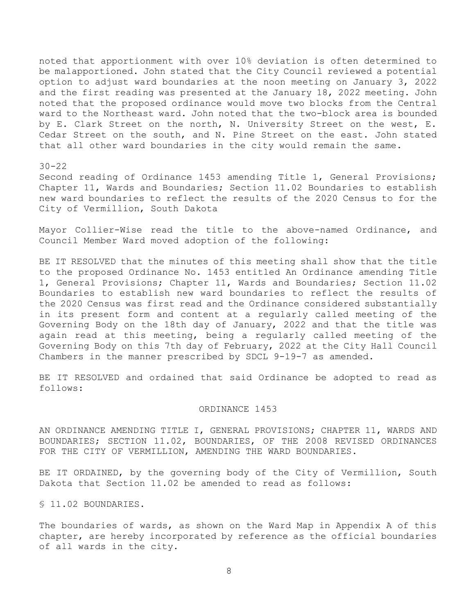noted that apportionment with over 10% deviation is often determined to be malapportioned. John stated that the City Council reviewed a potential option to adjust ward boundaries at the noon meeting on January 3, 2022 and the first reading was presented at the January 18, 2022 meeting. John noted that the proposed ordinance would move two blocks from the Central ward to the Northeast ward. John noted that the two-block area is bounded by E. Clark Street on the north, N. University Street on the west, E. Cedar Street on the south, and N. Pine Street on the east. John stated that all other ward boundaries in the city would remain the same.

 $30 - 22$ 

Second reading of Ordinance 1453 amending Title 1, General Provisions; Chapter 11, Wards and Boundaries; Section 11.02 Boundaries to establish new ward boundaries to reflect the results of the 2020 Census to for the City of Vermillion, South Dakota

Mayor Collier-Wise read the title to the above-named Ordinance, and Council Member Ward moved adoption of the following:

BE IT RESOLVED that the minutes of this meeting shall show that the title to the proposed Ordinance No. 1453 entitled An Ordinance amending Title 1, General Provisions; Chapter 11, Wards and Boundaries; Section 11.02 Boundaries to establish new ward boundaries to reflect the results of the 2020 Census was first read and the Ordinance considered substantially in its present form and content at a regularly called meeting of the Governing Body on the 18th day of January, 2022 and that the title was again read at this meeting, being a regularly called meeting of the Governing Body on this 7th day of February, 2022 at the City Hall Council Chambers in the manner prescribed by SDCL 9-19-7 as amended.

BE IT RESOLVED and ordained that said Ordinance be adopted to read as follows:

### ORDINANCE 1453

AN ORDINANCE AMENDING TITLE I, GENERAL PROVISIONS; CHAPTER 11, WARDS AND BOUNDARIES; SECTION 11.02, BOUNDARIES, OF THE 2008 REVISED ORDINANCES FOR THE CITY OF VERMILLION, AMENDING THE WARD BOUNDARIES.

BE IT ORDAINED, by the governing body of the City of Vermillion, South Dakota that Section 11.02 be amended to read as follows:

§ 11.02 BOUNDARIES.

The boundaries of wards, as shown on the Ward Map in Appendix A of this chapter, are hereby incorporated by reference as the official boundaries of all wards in the city.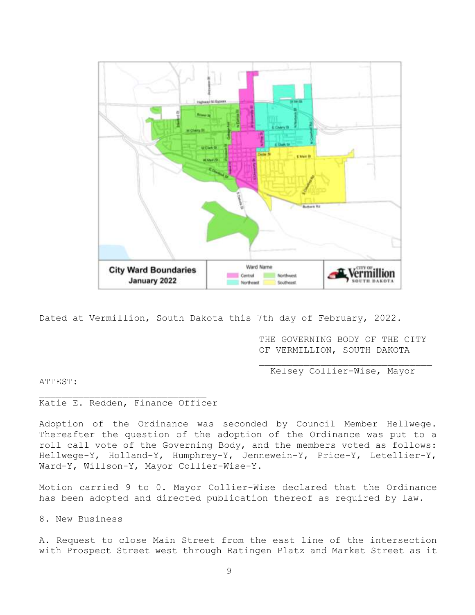

Dated at Vermillion, South Dakota this 7th day of February, 2022.

THE GOVERNING BODY OF THE CITY OF VERMILLION, SOUTH DAKOTA

Kelsey Collier-Wise, Mayor

ATTEST:

# Katie E. Redden, Finance Officer

Adoption of the Ordinance was seconded by Council Member Hellwege. Thereafter the question of the adoption of the Ordinance was put to a roll call vote of the Governing Body, and the members voted as follows: Hellwege-Y, Holland-Y, Humphrey-Y, Jennewein-Y, Price-Y, Letellier-Y, Ward-Y, Willson-Y, Mayor Collier-Wise-Y.

Motion carried 9 to 0. Mayor Collier-Wise declared that the Ordinance has been adopted and directed publication thereof as required by law.

8. New Business

A. Request to close Main Street from the east line of the intersection with Prospect Street west through Ratingen Platz and Market Street as it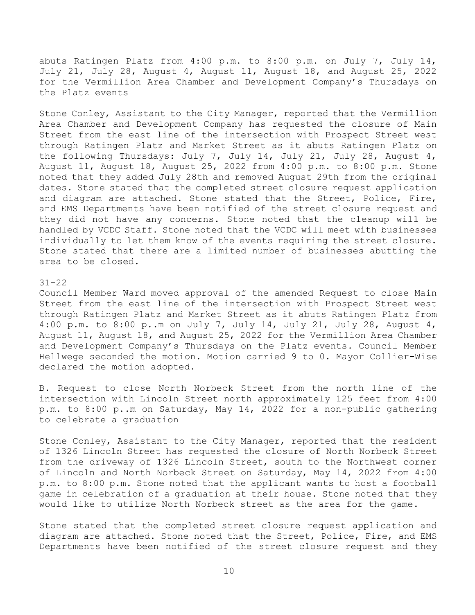abuts Ratingen Platz from 4:00 p.m. to 8:00 p.m. on July 7, July 14, July 21, July 28, August 4, August 11, August 18, and August 25, 2022 for the Vermillion Area Chamber and Development Company's Thursdays on the Platz events

Stone Conley, Assistant to the City Manager, reported that the Vermillion Area Chamber and Development Company has requested the closure of Main Street from the east line of the intersection with Prospect Street west through Ratingen Platz and Market Street as it abuts Ratingen Platz on the following Thursdays: July 7, July 14, July 21, July 28, August 4, August 11, August 18, August 25, 2022 from 4:00 p.m. to 8:00 p.m. Stone noted that they added July 28th and removed August 29th from the original dates. Stone stated that the completed street closure request application and diagram are attached. Stone stated that the Street, Police, Fire, and EMS Departments have been notified of the street closure request and they did not have any concerns. Stone noted that the cleanup will be handled by VCDC Staff. Stone noted that the VCDC will meet with businesses individually to let them know of the events requiring the street closure. Stone stated that there are a limited number of businesses abutting the area to be closed.

# 31-22

Council Member Ward moved approval of the amended Request to close Main Street from the east line of the intersection with Prospect Street west through Ratingen Platz and Market Street as it abuts Ratingen Platz from 4:00 p.m. to 8:00 p..m on July 7, July 14, July 21, July 28, August 4, August 11, August 18, and August 25, 2022 for the Vermillion Area Chamber and Development Company's Thursdays on the Platz events. Council Member Hellwege seconded the motion. Motion carried 9 to 0. Mayor Collier-Wise declared the motion adopted.

B. Request to close North Norbeck Street from the north line of the intersection with Lincoln Street north approximately 125 feet from 4:00 p.m. to 8:00 p..m on Saturday, May 14, 2022 for a non-public gathering to celebrate a graduation

Stone Conley, Assistant to the City Manager, reported that the resident of 1326 Lincoln Street has requested the closure of North Norbeck Street from the driveway of 1326 Lincoln Street, south to the Northwest corner of Lincoln and North Norbeck Street on Saturday, May 14, 2022 from 4:00 p.m. to 8:00 p.m. Stone noted that the applicant wants to host a football game in celebration of a graduation at their house. Stone noted that they would like to utilize North Norbeck street as the area for the game.

Stone stated that the completed street closure request application and diagram are attached. Stone noted that the Street, Police, Fire, and EMS Departments have been notified of the street closure request and they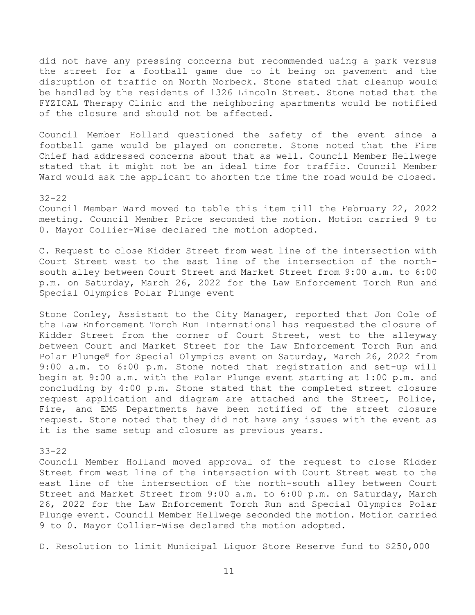did not have any pressing concerns but recommended using a park versus the street for a football game due to it being on pavement and the disruption of traffic on North Norbeck. Stone stated that cleanup would be handled by the residents of 1326 Lincoln Street. Stone noted that the FYZICAL Therapy Clinic and the neighboring apartments would be notified of the closure and should not be affected.

Council Member Holland questioned the safety of the event since a football game would be played on concrete. Stone noted that the Fire Chief had addressed concerns about that as well. Council Member Hellwege stated that it might not be an ideal time for traffic. Council Member Ward would ask the applicant to shorten the time the road would be closed.

### $32 - 22$

Council Member Ward moved to table this item till the February 22, 2022 meeting. Council Member Price seconded the motion. Motion carried 9 to 0. Mayor Collier-Wise declared the motion adopted.

C. Request to close Kidder Street from west line of the intersection with Court Street west to the east line of the intersection of the northsouth alley between Court Street and Market Street from 9:00 a.m. to 6:00 p.m. on Saturday, March 26, 2022 for the Law Enforcement Torch Run and Special Olympics Polar Plunge event

Stone Conley, Assistant to the City Manager, reported that Jon Cole of the Law Enforcement Torch Run International has requested the closure of Kidder Street from the corner of Court Street, west to the alleyway between Court and Market Street for the Law Enforcement Torch Run and Polar Plunge® for Special Olympics event on Saturday, March 26, 2022 from 9:00 a.m. to 6:00 p.m. Stone noted that registration and set-up will begin at 9:00 a.m. with the Polar Plunge event starting at 1:00 p.m. and concluding by 4:00 p.m. Stone stated that the completed street closure request application and diagram are attached and the Street, Police, Fire, and EMS Departments have been notified of the street closure request. Stone noted that they did not have any issues with the event as it is the same setup and closure as previous years.

## 33-22

Council Member Holland moved approval of the request to close Kidder Street from west line of the intersection with Court Street west to the east line of the intersection of the north-south alley between Court Street and Market Street from 9:00 a.m. to 6:00 p.m. on Saturday, March 26, 2022 for the Law Enforcement Torch Run and Special Olympics Polar Plunge event. Council Member Hellwege seconded the motion. Motion carried 9 to 0. Mayor Collier-Wise declared the motion adopted.

D. Resolution to limit Municipal Liquor Store Reserve fund to \$250,000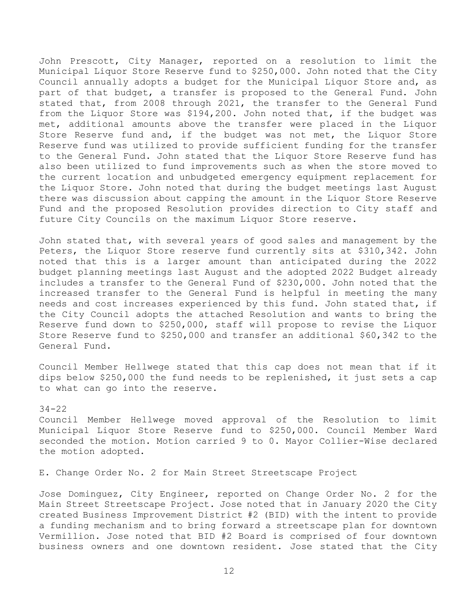John Prescott, City Manager, reported on a resolution to limit the Municipal Liquor Store Reserve fund to \$250,000. John noted that the City Council annually adopts a budget for the Municipal Liquor Store and, as part of that budget, a transfer is proposed to the General Fund. John stated that, from 2008 through 2021, the transfer to the General Fund from the Liquor Store was \$194,200. John noted that, if the budget was met, additional amounts above the transfer were placed in the Liquor Store Reserve fund and, if the budget was not met, the Liquor Store Reserve fund was utilized to provide sufficient funding for the transfer to the General Fund. John stated that the Liquor Store Reserve fund has also been utilized to fund improvements such as when the store moved to the current location and unbudgeted emergency equipment replacement for the Liquor Store. John noted that during the budget meetings last August there was discussion about capping the amount in the Liquor Store Reserve Fund and the proposed Resolution provides direction to City staff and future City Councils on the maximum Liquor Store reserve.

John stated that, with several years of good sales and management by the Peters, the Liquor Store reserve fund currently sits at \$310,342. John noted that this is a larger amount than anticipated during the 2022 budget planning meetings last August and the adopted 2022 Budget already includes a transfer to the General Fund of \$230,000. John noted that the increased transfer to the General Fund is helpful in meeting the many needs and cost increases experienced by this fund. John stated that, if the City Council adopts the attached Resolution and wants to bring the Reserve fund down to \$250,000, staff will propose to revise the Liquor Store Reserve fund to \$250,000 and transfer an additional \$60,342 to the General Fund.

Council Member Hellwege stated that this cap does not mean that if it dips below \$250,000 the fund needs to be replenished, it just sets a cap to what can go into the reserve.

#### 34-22

Council Member Hellwege moved approval of the Resolution to limit Municipal Liquor Store Reserve fund to \$250,000. Council Member Ward seconded the motion. Motion carried 9 to 0. Mayor Collier-Wise declared the motion adopted.

E. Change Order No. 2 for Main Street Streetscape Project

Jose Dominguez, City Engineer, reported on Change Order No. 2 for the Main Street Streetscape Project. Jose noted that in January 2020 the City created Business Improvement District #2 (BID) with the intent to provide a funding mechanism and to bring forward a streetscape plan for downtown Vermillion. Jose noted that BID #2 Board is comprised of four downtown business owners and one downtown resident. Jose stated that the City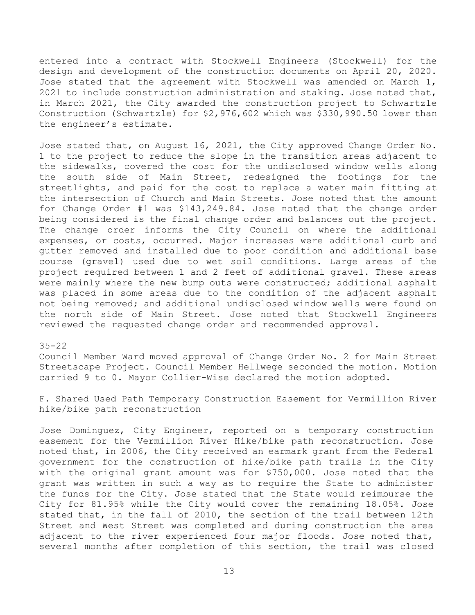entered into a contract with Stockwell Engineers (Stockwell) for the design and development of the construction documents on April 20, 2020. Jose stated that the agreement with Stockwell was amended on March 1, 2021 to include construction administration and staking. Jose noted that, in March 2021, the City awarded the construction project to Schwartzle Construction (Schwartzle) for \$2,976,602 which was \$330,990.50 lower than the engineer's estimate.

Jose stated that, on August 16, 2021, the City approved Change Order No. 1 to the project to reduce the slope in the transition areas adjacent to the sidewalks, covered the cost for the undisclosed window wells along the south side of Main Street, redesigned the footings for the streetlights, and paid for the cost to replace a water main fitting at the intersection of Church and Main Streets. Jose noted that the amount for Change Order #1 was \$143,249.84. Jose noted that the change order being considered is the final change order and balances out the project. The change order informs the City Council on where the additional expenses, or costs, occurred. Major increases were additional curb and gutter removed and installed due to poor condition and additional base course (gravel) used due to wet soil conditions. Large areas of the project required between 1 and 2 feet of additional gravel. These areas were mainly where the new bump outs were constructed; additional asphalt was placed in some areas due to the condition of the adjacent asphalt not being removed; and additional undisclosed window wells were found on the north side of Main Street. Jose noted that Stockwell Engineers reviewed the requested change order and recommended approval.

## 35-22

Council Member Ward moved approval of Change Order No. 2 for Main Street Streetscape Project. Council Member Hellwege seconded the motion. Motion carried 9 to 0. Mayor Collier-Wise declared the motion adopted.

F. Shared Used Path Temporary Construction Easement for Vermillion River hike/bike path reconstruction

Jose Dominguez, City Engineer, reported on a temporary construction easement for the Vermillion River Hike/bike path reconstruction. Jose noted that, in 2006, the City received an earmark grant from the Federal government for the construction of hike/bike path trails in the City with the original grant amount was for \$750,000. Jose noted that the grant was written in such a way as to require the State to administer the funds for the City. Jose stated that the State would reimburse the City for 81.95% while the City would cover the remaining 18.05%. Jose stated that, in the fall of 2010, the section of the trail between 12th Street and West Street was completed and during construction the area adjacent to the river experienced four major floods. Jose noted that, several months after completion of this section, the trail was closed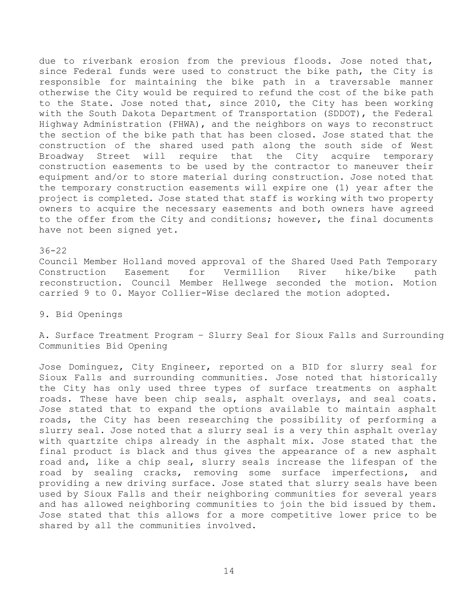due to riverbank erosion from the previous floods. Jose noted that, since Federal funds were used to construct the bike path, the City is responsible for maintaining the bike path in a traversable manner otherwise the City would be required to refund the cost of the bike path to the State. Jose noted that, since 2010, the City has been working with the South Dakota Department of Transportation (SDDOT), the Federal Highway Administration (FHWA), and the neighbors on ways to reconstruct the section of the bike path that has been closed. Jose stated that the construction of the shared used path along the south side of West Broadway Street will require that the City acquire temporary construction easements to be used by the contractor to maneuver their equipment and/or to store material during construction. Jose noted that the temporary construction easements will expire one (1) year after the project is completed. Jose stated that staff is working with two property owners to acquire the necessary easements and both owners have agreed to the offer from the City and conditions; however, the final documents have not been signed yet.

#### 36-22

Council Member Holland moved approval of the Shared Used Path Temporary Construction Easement for Vermillion River hike/bike path reconstruction. Council Member Hellwege seconded the motion. Motion carried 9 to 0. Mayor Collier-Wise declared the motion adopted.

# 9. Bid Openings

A. Surface Treatment Program – Slurry Seal for Sioux Falls and Surrounding Communities Bid Opening

Jose Dominguez, City Engineer, reported on a BID for slurry seal for Sioux Falls and surrounding communities. Jose noted that historically the City has only used three types of surface treatments on asphalt roads. These have been chip seals, asphalt overlays, and seal coats. Jose stated that to expand the options available to maintain asphalt roads, the City has been researching the possibility of performing a slurry seal. Jose noted that a slurry seal is a very thin asphalt overlay with quartzite chips already in the asphalt mix. Jose stated that the final product is black and thus gives the appearance of a new asphalt road and, like a chip seal, slurry seals increase the lifespan of the road by sealing cracks, removing some surface imperfections, and providing a new driving surface. Jose stated that slurry seals have been used by Sioux Falls and their neighboring communities for several years and has allowed neighboring communities to join the bid issued by them. Jose stated that this allows for a more competitive lower price to be shared by all the communities involved.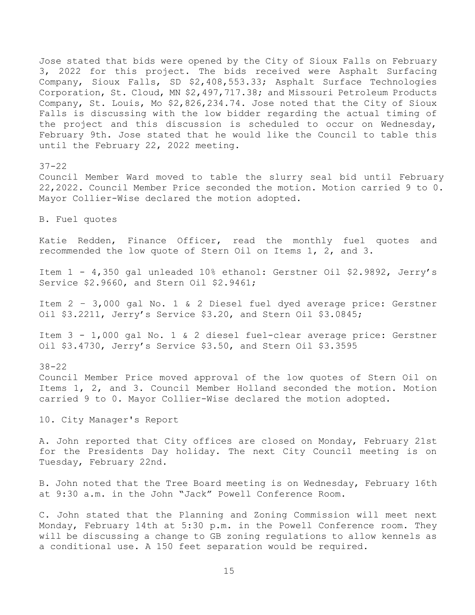Jose stated that bids were opened by the City of Sioux Falls on February 3, 2022 for this project. The bids received were Asphalt Surfacing Company, Sioux Falls, SD \$2,408,553.33; Asphalt Surface Technologies Corporation, St. Cloud, MN \$2,497,717.38; and Missouri Petroleum Products Company, St. Louis, Mo \$2,826,234.74. Jose noted that the City of Sioux Falls is discussing with the low bidder regarding the actual timing of the project and this discussion is scheduled to occur on Wednesday, February 9th. Jose stated that he would like the Council to table this until the February 22, 2022 meeting.

37-22

Council Member Ward moved to table the slurry seal bid until February 22,2022. Council Member Price seconded the motion. Motion carried 9 to 0. Mayor Collier-Wise declared the motion adopted.

B. Fuel quotes

Katie Redden, Finance Officer, read the monthly fuel quotes and recommended the low quote of Stern Oil on Items 1, 2, and 3.

Item 1 - 4,350 gal unleaded 10% ethanol: Gerstner Oil \$2.9892, Jerry's Service \$2.9660, and Stern Oil \$2.9461;

Item 2 – 3,000 gal No. 1 & 2 Diesel fuel dyed average price: Gerstner Oil \$3.2211, Jerry's Service \$3.20, and Stern Oil \$3.0845;

Item 3 - 1,000 gal No. 1 & 2 diesel fuel-clear average price: Gerstner Oil \$3.4730, Jerry's Service \$3.50, and Stern Oil \$3.3595

38-22 Council Member Price moved approval of the low quotes of Stern Oil on Items 1, 2, and 3. Council Member Holland seconded the motion. Motion carried 9 to 0. Mayor Collier-Wise declared the motion adopted.

10. City Manager's Report

A. John reported that City offices are closed on Monday, February 21st for the Presidents Day holiday. The next City Council meeting is on Tuesday, February 22nd.

B. John noted that the Tree Board meeting is on Wednesday, February 16th at 9:30 a.m. in the John "Jack" Powell Conference Room.

C. John stated that the Planning and Zoning Commission will meet next Monday, February 14th at 5:30 p.m. in the Powell Conference room. They will be discussing a change to GB zoning regulations to allow kennels as a conditional use. A 150 feet separation would be required.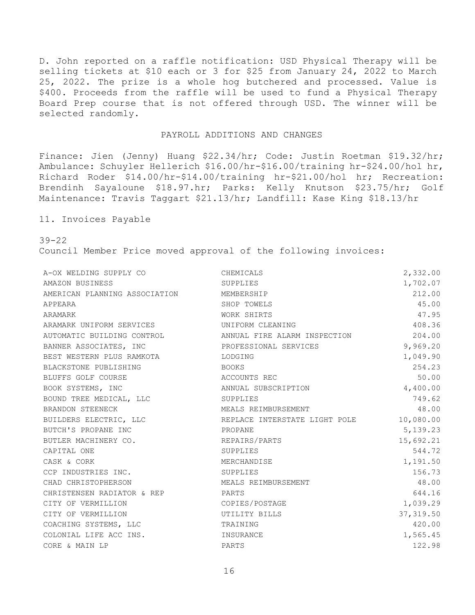D. John reported on a raffle notification: USD Physical Therapy will be selling tickets at \$10 each or 3 for \$25 from January 24, 2022 to March 25, 2022. The prize is a whole hog butchered and processed. Value is \$400. Proceeds from the raffle will be used to fund a Physical Therapy Board Prep course that is not offered through USD. The winner will be selected randomly.

# PAYROLL ADDITIONS AND CHANGES

Finance: Jien (Jenny) Huang \$22.34/hr; Code: Justin Roetman \$19.32/hr; Ambulance: Schuyler Hellerich \$16.00/hr-\$16.00/training hr-\$24.00/hol hr, Richard Roder \$14.00/hr-\$14.00/training hr-\$21.00/hol hr; Recreation: Brendinh Sayaloune \$18.97.hr; Parks: Kelly Knutson \$23.75/hr; Golf Maintenance: Travis Taggart \$21.13/hr; Landfill: Kase King \$18.13/hr

11. Invoices Payable

39-22

Council Member Price moved approval of the following invoices:

| A-OX WELDING SUPPLY CO                                      | CHEMICALS                               | 2,332.00   |
|-------------------------------------------------------------|-----------------------------------------|------------|
| AMAZON BUSINESS                                             | SUPPLIES                                | 1,702.07   |
| AMERICAN PLANNING ASSOCIATION MEMBERSHIP                    |                                         | 212.00     |
| APPEARA                                                     | SHOP TOWELS                             | 45.00      |
| ARAMARK                                                     | WORK SHIRTS                             | 47.95      |
| ARAMARK UNIFORM SERVICES <b>ARAMARY UNIFORM CLEANING</b>    |                                         | 408.36     |
| AUTOMATIC BUILDING CONTROL THE ANNUAL FIRE ALARM INSPECTION |                                         | 204.00     |
| BANNER ASSOCIATES, INC                                      | PROFESSIONAL SERVICES                   | 9,969.20   |
| BEST WESTERN PLUS RAMKOTA LODGING                           |                                         | 1,049.90   |
| BLACKSTONE PUBLISHING                                       | BOOKS                                   | 254.23     |
| BLUFFS GOLF COURSE                                          | ACCOUNTS REC                            | 50.00      |
| BOOK SYSTEMS, INC                                           | ANNUAL SUBSCRIPTION                     | 4,400.00   |
| BOUND TREE MEDICAL, LLC                                     | SUPPLIES                                | 749.62     |
| BRANDON STEENECK                                            | MEALS REIMBURSEMENT                     | 48.00      |
| BUILDERS ELECTRIC, LLC                                      | REPLACE INTERSTATE LIGHT POLE 10,080.00 |            |
| BUTCH'S PROPANE INC                                         | PROPANE                                 | 5, 139.23  |
| BUTLER MACHINERY CO.                                        | REPAIRS/PARTS                           | 15,692.21  |
| CAPITAL ONE                                                 | SUPPLIES                                | 544.72     |
| CASK & CORK                                                 | MERCHANDISE                             | 1,191.50   |
| CCP INDUSTRIES INC.                                         | SUPPLIES                                | 156.73     |
| CHAD CHRISTOPHERSON                                         | MEALS REIMBURSEMENT                     | 48.00      |
| CHRISTENSEN RADIATOR & REP                                  | <b>EXAMPLE PARTS</b>                    | 644.16     |
| CITY OF VERMILLION                                          | COPIES/POSTAGE                          | 1,039.29   |
| CITY OF VERMILLION                                          | UTILITY BILLS                           | 37, 319.50 |
| COACHING SYSTEMS, LLC                                       | TRAINING                                | 420.00     |
| COLONIAL LIFE ACC INS.                                      | INSURANCE                               | 1,565.45   |
| CORE & MAIN LP                                              | PARTS                                   | 122.98     |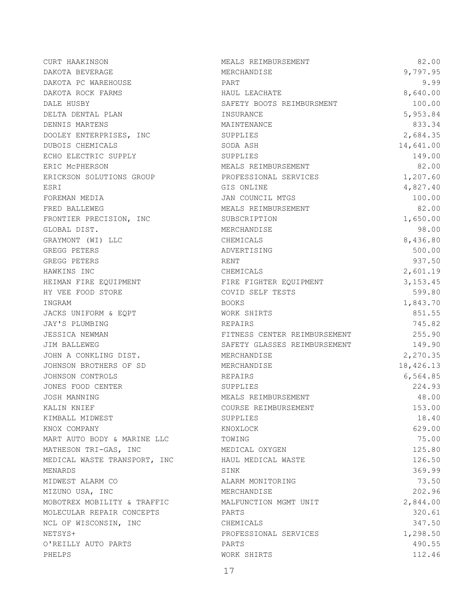| CURT HAAKINSON               | MEALS REIMBURSEMENT          | 82.00     |
|------------------------------|------------------------------|-----------|
| DAKOTA BEVERAGE              | MERCHANDISE                  | 9,797.95  |
| DAKOTA PC WAREHOUSE          | PART                         | 9.99      |
| DAKOTA ROCK FARMS            | HAUL LEACHATE                | 8,640.00  |
| DALE HUSBY                   | SAFETY BOOTS REIMBURSMENT    | 100.00    |
| DELTA DENTAL PLAN            | INSURANCE                    | 5,953.84  |
| DENNIS MARTENS               | MAINTENANCE                  | 833.34    |
| DOOLEY ENTERPRISES, INC      | SUPPLIES                     | 2,684.35  |
| DUBOIS CHEMICALS             | SODA ASH                     | 14,641.00 |
| ECHO ELECTRIC SUPPLY         | SUPPLIES                     | 149.00    |
| ERIC MCPHERSON               | MEALS REIMBURSEMENT          | 82.00     |
| ERICKSON SOLUTIONS GROUP     | PROFESSIONAL SERVICES        | 1,207.60  |
| ESRI                         | GIS ONLINE                   | 4,827.40  |
| FOREMAN MEDIA                | JAN COUNCIL MTGS             | 100.00    |
| FRED BALLEWEG                | MEALS REIMBURSEMENT          | 82.00     |
| FRONTIER PRECISION, INC      | SUBSCRIPTION                 | 1,650.00  |
| GLOBAL DIST.                 | MERCHANDISE                  | 98.00     |
| GRAYMONT (WI) LLC            | CHEMICALS                    | 8,436.80  |
| GREGG PETERS                 | ADVERTISING                  | 500.00    |
| GREGG PETERS                 | RENT                         | 937.50    |
| HAWKINS INC                  | CHEMICALS                    | 2,601.19  |
| HEIMAN FIRE EQUIPMENT        | FIRE FIGHTER EQUIPMENT       | 3,153.45  |
| HY VEE FOOD STORE            | COVID SELF TESTS             | 599.80    |
| INGRAM                       | <b>BOOKS</b>                 | 1,843.70  |
| JACKS UNIFORM & EQPT         | WORK SHIRTS                  | 851.55    |
| JAY'S PLUMBING               | REPAIRS                      | 745.82    |
| JESSICA NEWMAN               | FITNESS CENTER REIMBURSEMENT | 255.90    |
| JIM BALLEWEG                 | SAFETY GLASSES REIMBURSEMENT | 149.90    |
| JOHN A CONKLING DIST.        | MERCHANDISE                  | 2,270.35  |
| JOHNSON BROTHERS OF SD       | MERCHANDISE                  | 18,426.13 |
| JOHNSON CONTROLS             | REPAIRS                      | 6,564.85  |
| JONES FOOD CENTER            | SUPPLIES                     | 224.93    |
| JOSH MANNING                 | MEALS REIMBURSEMENT          | 48.00     |
| KALIN KNIEF                  | COURSE REIMBURSEMENT         | 153.00    |
| KIMBALL MIDWEST              | SUPPLIES                     | 18.40     |
| KNOX COMPANY                 | KNOXLOCK                     | 629.00    |
| MART AUTO BODY & MARINE LLC  | TOWING                       | 75.00     |
| MATHESON TRI-GAS, INC        | MEDICAL OXYGEN               | 125.80    |
| MEDICAL WASTE TRANSPORT, INC | HAUL MEDICAL WASTE           | 126.50    |
| MENARDS                      | SINK                         | 369.99    |
| MIDWEST ALARM CO             | ALARM MONITORING             | 73.50     |
| MIZUNO USA, INC              | MERCHANDISE                  | 202.96    |
| MOBOTREX MOBILITY & TRAFFIC  | MALFUNCTION MGMT UNIT        | 2,844.00  |
| MOLECULAR REPAIR CONCEPTS    | PARTS                        | 320.61    |
| NCL OF WISCONSIN, INC        | CHEMICALS                    | 347.50    |
| NETSYS+                      | PROFESSIONAL SERVICES        | 1,298.50  |
| O'REILLY AUTO PARTS          | PARTS                        | 490.55    |
| PHELPS                       | WORK SHIRTS                  | 112.46    |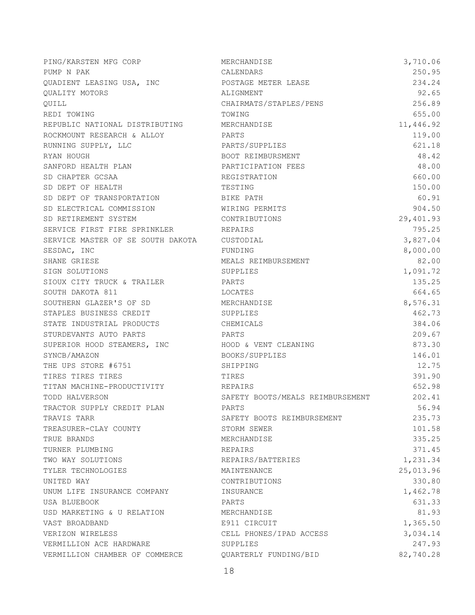| PING/KARSTEN MFG CORP                       | MERCHANDISE                      | 3,710.06  |
|---------------------------------------------|----------------------------------|-----------|
| PUMP N PAK                                  | CALENDARS                        | 250.95    |
| QUADIENT LEASING USA, INC                   | POSTAGE METER LEASE              | 234.24    |
| QUALITY MOTORS                              | ALIGNMENT                        | 92.65     |
| QUILL                                       | CHAIRMATS/STAPLES/PENS           | 256.89    |
| REDI TOWING                                 | TOWING                           | 655.00    |
| REPUBLIC NATIONAL DISTRIBUTING MERCHANDISE  |                                  | 11,446.92 |
| ROCKMOUNT RESEARCH & ALLOY                  | PARTS                            | 119.00    |
| RUNNING SUPPLY, LLC                         | PARTS/SUPPLIES                   | 621.18    |
| RYAN HOUGH                                  | BOOT REIMBURSMENT                | 48.42     |
| SANFORD HEALTH PLAN                         | PARTICIPATION FEES               | 48.00     |
| SD CHAPTER GCSAA                            | REGISTRATION                     | 660.00    |
| SD DEPT OF HEALTH                           | TESTING                          | 150.00    |
| SD DEPT OF TRANSPORTATION                   | BIKE PATH                        | 60.91     |
| SD ELECTRICAL COMMISSION WIRING PERMITS     |                                  | 904.50    |
| SD RETIREMENT SYSTEM                        | CONTRIBUTIONS                    | 29,401.93 |
| SERVICE FIRST FIRE SPRINKLER                | REPAIRS                          | 795.25    |
| SERVICE MASTER OF SE SOUTH DAKOTA CUSTODIAL |                                  | 3,827.04  |
| SESDAC, INC                                 | FUNDING                          | 8,000.00  |
| SHANE GRIESE                                | MEALS REIMBURSEMENT              | 82.00     |
| SIGN SOLUTIONS                              | SUPPLIES                         | 1,091.72  |
| SIOUX CITY TRUCK & TRAILER                  | PARTS                            | 135.25    |
| SOUTH DAKOTA 811                            | LOCATES                          | 664.65    |
| SOUTHERN GLAZER'S OF SD                     | MERCHANDISE                      | 8,576.31  |
| STAPLES BUSINESS CREDIT                     | SUPPLIES                         | 462.73    |
| STATE INDUSTRIAL PRODUCTS                   | CHEMICALS                        | 384.06    |
| STURDEVANTS AUTO PARTS                      | PARTS                            | 209.67    |
| SUPERIOR HOOD STEAMERS, INC                 | HOOD & VENT CLEANING             | 873.30    |
| SYNCB/AMAZON                                | BOOKS/SUPPLIES                   | 146.01    |
| THE UPS STORE #6751                         | SHIPPING                         | 12.75     |
| TIRES TIRES TIRES                           | TIRES                            | 391.90    |
| TITAN MACHINE-PRODUCTIVITY                  | REPAIRS                          | 652.98    |
| TODD HALVERSON                              | SAFETY BOOTS/MEALS REIMBURSEMENT | 202.41    |
| TRACTOR SUPPLY CREDIT PLAN                  | PARTS                            | 56.94     |
| TRAVIS TARR                                 | SAFETY BOOTS REIMBURSEMENT       | 235.73    |
| TREASURER-CLAY COUNTY                       | STORM SEWER                      | 101.58    |
| TRUE BRANDS                                 | MERCHANDISE                      | 335.25    |
| TURNER PLUMBING                             | <b>REPAIRS</b>                   | 371.45    |
| TWO WAY SOLUTIONS                           | REPAIRS/BATTERIES                | 1,231.34  |
| TYLER TECHNOLOGIES                          | MAINTENANCE                      | 25,013.96 |
| UNITED WAY                                  | CONTRIBUTIONS                    | 330.80    |
| UNUM LIFE INSURANCE COMPANY                 | INSURANCE                        | 1,462.78  |
| USA BLUEBOOK                                | PARTS                            | 631.33    |
| USD MARKETING & U RELATION                  | MERCHANDISE                      | 81.93     |
| VAST BROADBAND                              | E911 CIRCUIT                     | 1,365.50  |
| VERIZON WIRELESS                            | CELL PHONES/IPAD ACCESS          | 3,034.14  |
| VERMILLION ACE HARDWARE                     | SUPPLIES                         | 247.93    |
| VERMILLION CHAMBER OF COMMERCE              | QUARTERLY FUNDING/BID            | 82,740.28 |